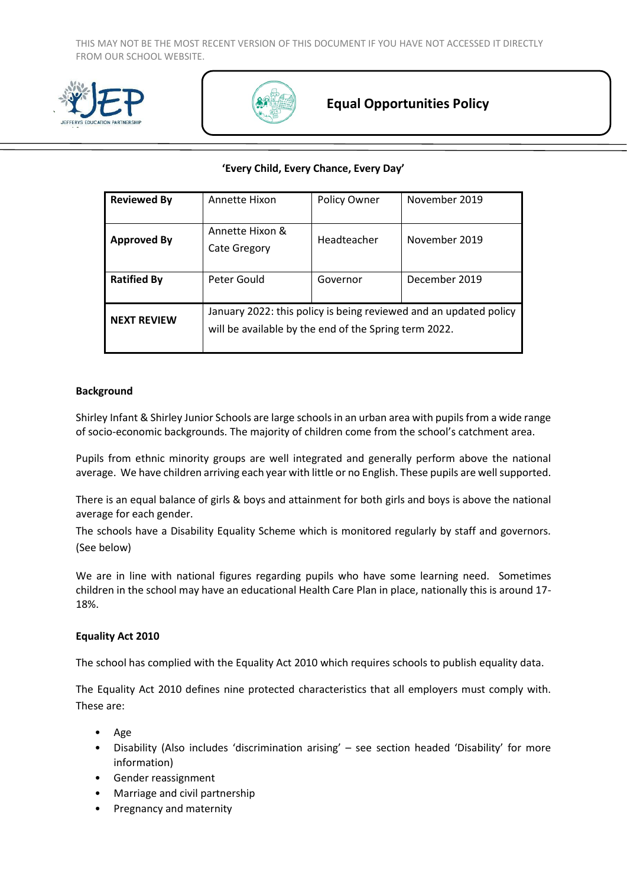THIS MAY NOT BE THE MOST RECENT VERSION OF THIS DOCUMENT IF YOU HAVE NOT ACCESSED IT DIRECTLY FROM OUR SCHOOL WEBSITE.





# **Equal Opportunities Policy**

#### **'Every Child, Every Chance, Every Day'**

| <b>Reviewed By</b> | Annette Hixon                                                                                                              | <b>Policy Owner</b> | November 2019 |
|--------------------|----------------------------------------------------------------------------------------------------------------------------|---------------------|---------------|
| <b>Approved By</b> | Annette Hixon &<br>Cate Gregory                                                                                            | Headteacher         | November 2019 |
| <b>Ratified By</b> | Peter Gould                                                                                                                | Governor            | December 2019 |
| <b>NEXT REVIEW</b> | January 2022: this policy is being reviewed and an updated policy<br>will be available by the end of the Spring term 2022. |                     |               |

#### **Background**

Shirley Infant & Shirley Junior Schools are large schools in an urban area with pupils from a wide range of socio-economic backgrounds. The majority of children come from the school's catchment area.

Pupils from ethnic minority groups are well integrated and generally perform above the national average. We have children arriving each year with little or no English. These pupils are well supported.

There is an equal balance of girls & boys and attainment for both girls and boys is above the national average for each gender.

The schools have a Disability Equality Scheme which is monitored regularly by staff and governors. (See below)

We are in line with national figures regarding pupils who have some learning need. Sometimes children in the school may have an educational Health Care Plan in place, nationally this is around 17- 18%.

#### **Equality Act 2010**

The school has complied with the Equality Act 2010 which requires schools to publish equality data.

The Equality Act 2010 defines nine protected characteristics that all employers must comply with. These are:

- Age
- Disability (Also includes 'discrimination arising' see section headed 'Disability' for more information)
- Gender reassignment
- Marriage and civil partnership
- Pregnancy and maternity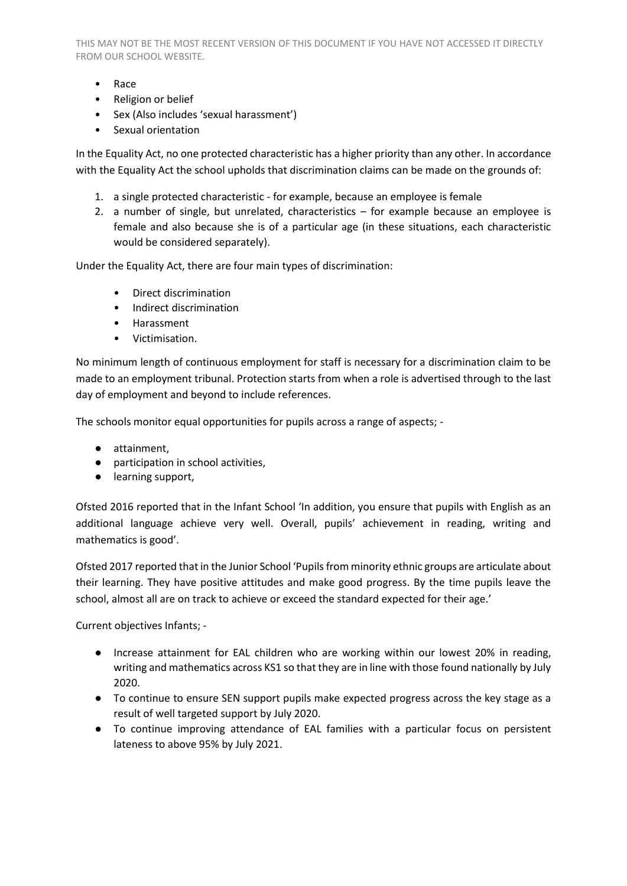THIS MAY NOT BE THE MOST RECENT VERSION OF THIS DOCUMENT IF YOU HAVE NOT ACCESSED IT DIRECTLY FROM OUR SCHOOL WEBSITE.

- Race
- Religion or belief
- Sex (Also includes 'sexual harassment')
- Sexual orientation

In the Equality Act, no one protected characteristic has a higher priority than any other. In accordance with the Equality Act the school upholds that discrimination claims can be made on the grounds of:

- 1. a single protected characteristic for example, because an employee is female
- 2. a number of single, but unrelated, characteristics for example because an employee is female and also because she is of a particular age (in these situations, each characteristic would be considered separately).

Under the Equality Act, there are four main types of discrimination:

- Direct discrimination
- Indirect discrimination
- Harassment
- Victimisation.

No minimum length of continuous employment for staff is necessary for a discrimination claim to be made to an employment tribunal. Protection starts from when a role is advertised through to the last day of employment and beyond to include references.

The schools monitor equal opportunities for pupils across a range of aspects; -

- attainment,
- participation in school activities,
- learning support,

Ofsted 2016 reported that in the Infant School 'In addition, you ensure that pupils with English as an additional language achieve very well. Overall, pupils' achievement in reading, writing and mathematics is good'.

Ofsted 2017 reported that in the Junior School 'Pupils from minority ethnic groups are articulate about their learning. They have positive attitudes and make good progress. By the time pupils leave the school, almost all are on track to achieve or exceed the standard expected for their age.'

Current objectives Infants; -

- Increase attainment for EAL children who are working within our lowest 20% in reading, writing and mathematics across KS1 so that they are in line with those found nationally by July 2020.
- To continue to ensure SEN support pupils make expected progress across the key stage as a result of well targeted support by July 2020.
- To continue improving attendance of EAL families with a particular focus on persistent lateness to above 95% by July 2021.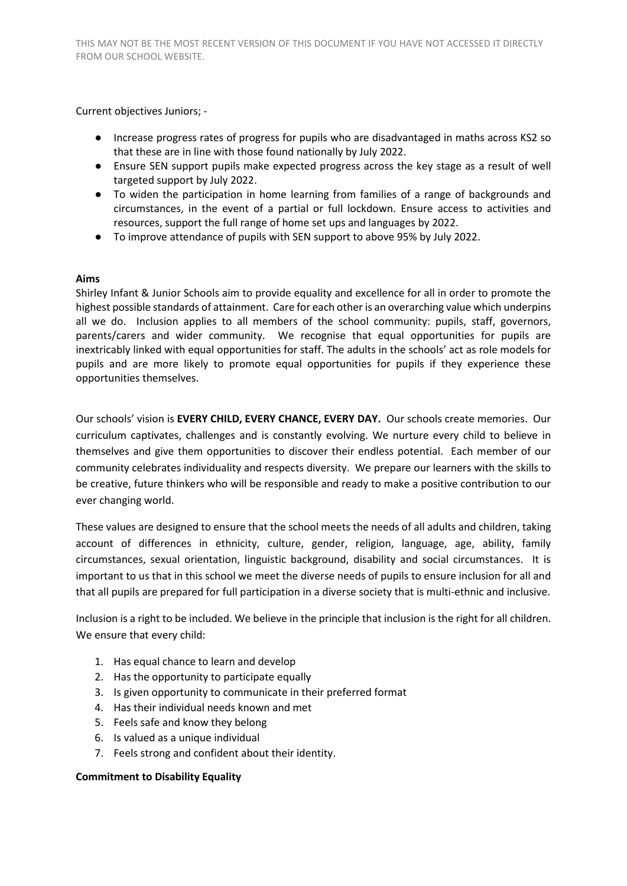Current objectives Juniors; -

- Increase progress rates of progress for pupils who are disadvantaged in maths across KS2 so that these are in line with those found nationally by July 2022.
- Ensure SEN support pupils make expected progress across the key stage as a result of well targeted support by July 2022.
- To widen the participation in home learning from families of a range of backgrounds and circumstances, in the event of a partial or full lockdown. Ensure access to activities and resources, support the full range of home set ups and languages by 2022.
- To improve attendance of pupils with SEN support to above 95% by July 2022.

## **Aims**

Shirley Infant & Junior Schools aim to provide equality and excellence for all in order to promote the highest possible standards of attainment. Care for each other is an overarching value which underpins all we do. Inclusion applies to all members of the school community: pupils, staff, governors, parents/carers and wider community. We recognise that equal opportunities for pupils are inextricably linked with equal opportunities for staff. The adults in the schools' act as role models for pupils and are more likely to promote equal opportunities for pupils if they experience these opportunities themselves.

Our schools' vision is **EVERY CHILD, EVERY CHANCE, EVERY DAY.** Our schools create memories. Our curriculum captivates, challenges and is constantly evolving. We nurture every child to believe in themselves and give them opportunities to discover their endless potential. Each member of our community celebrates individuality and respects diversity. We prepare our learners with the skills to be creative, future thinkers who will be responsible and ready to make a positive contribution to our ever changing world.

These values are designed to ensure that the school meets the needs of all adults and children, taking account of differences in ethnicity, culture, gender, religion, language, age, ability, family circumstances, sexual orientation, linguistic background, disability and social circumstances. It is important to us that in this school we meet the diverse needs of pupils to ensure inclusion for all and that all pupils are prepared for full participation in a diverse society that is multi-ethnic and inclusive.

Inclusion is a right to be included. We believe in the principle that inclusion is the right for all children. We ensure that every child:

- 1. Has equal chance to learn and develop
- 2. Has the opportunity to participate equally
- 3. Is given opportunity to communicate in their preferred format
- 4. Has their individual needs known and met
- 5. Feels safe and know they belong
- 6. Is valued as a unique individual
- 7. Feels strong and confident about their identity.

#### **Commitment to Disability Equality**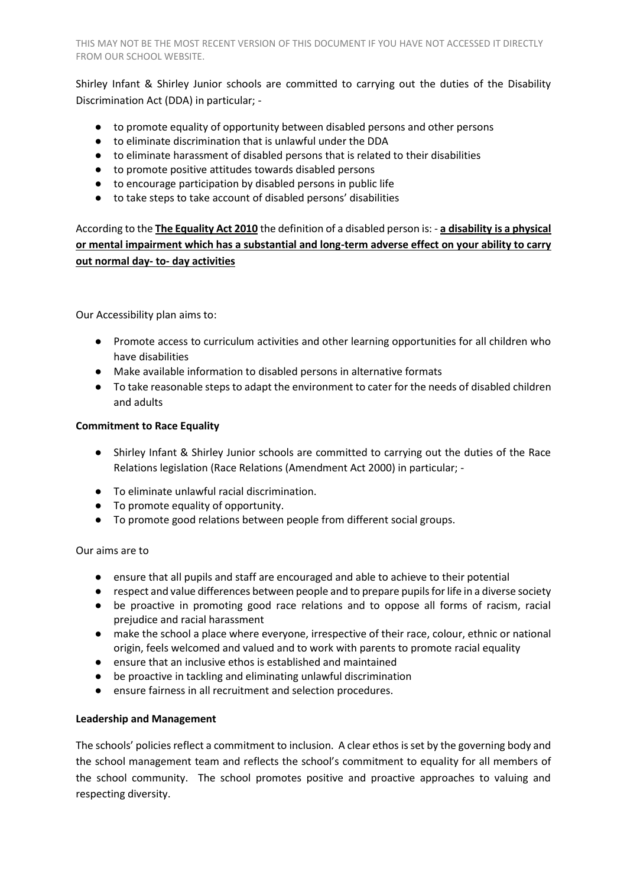Shirley Infant & Shirley Junior schools are committed to carrying out the duties of the Disability Discrimination Act (DDA) in particular; -

- to promote equality of opportunity between disabled persons and other persons
- to eliminate discrimination that is unlawful under the DDA
- to eliminate harassment of disabled persons that is related to their disabilities
- to promote positive attitudes towards disabled persons
- to encourage participation by disabled persons in public life
- to take steps to take account of disabled persons' disabilities

According to the **The Equality Act 2010** the definition of a disabled person is: - **a disability is a physical or mental impairment which has a substantial and long-term adverse effect on your ability to carry out normal day- to- day activities**

Our Accessibility plan aims to:

- Promote access to curriculum activities and other learning opportunities for all children who have disabilities
- Make available information to disabled persons in alternative formats
- To take reasonable steps to adapt the environment to cater for the needs of disabled children and adults

## **Commitment to Race Equality**

- Shirley Infant & Shirley Junior schools are committed to carrying out the duties of the Race Relations legislation (Race Relations (Amendment Act 2000) in particular; -
- To eliminate unlawful racial discrimination.
- To promote equality of opportunity.
- To promote good relations between people from different social groups.

# Our aims are to

- ensure that all pupils and staff are encouraged and able to achieve to their potential
- respect and value differences between people and to prepare pupils for life in a diverse society
- be proactive in promoting good race relations and to oppose all forms of racism, racial prejudice and racial harassment
- make the school a place where everyone, irrespective of their race, colour, ethnic or national origin, feels welcomed and valued and to work with parents to promote racial equality
- ensure that an inclusive ethos is established and maintained
- be proactive in tackling and eliminating unlawful discrimination
- ensure fairness in all recruitment and selection procedures.

#### **Leadership and Management**

The schools' policies reflect a commitment to inclusion. A clear ethos is set by the governing body and the school management team and reflects the school's commitment to equality for all members of the school community. The school promotes positive and proactive approaches to valuing and respecting diversity.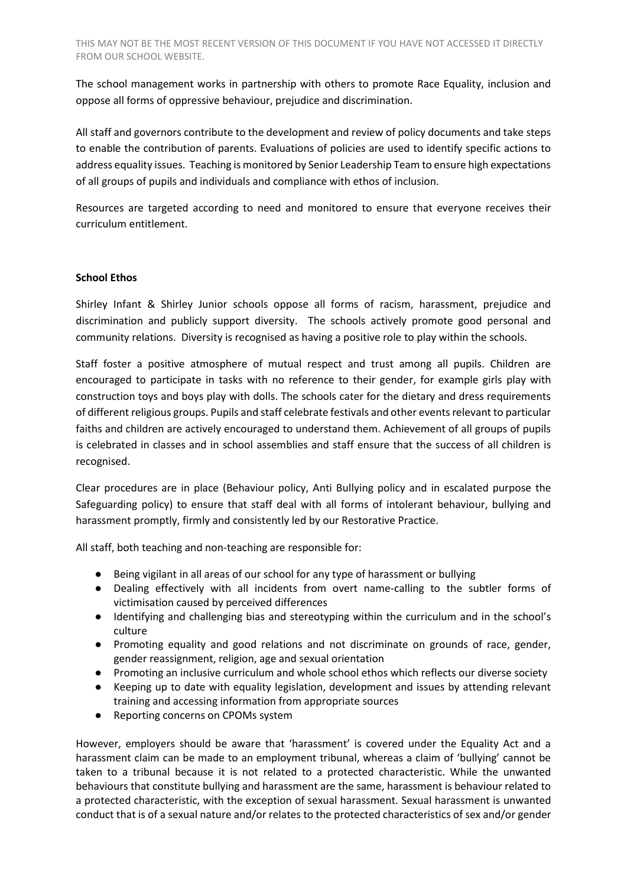The school management works in partnership with others to promote Race Equality, inclusion and oppose all forms of oppressive behaviour, prejudice and discrimination.

All staff and governors contribute to the development and review of policy documents and take steps to enable the contribution of parents. Evaluations of policies are used to identify specific actions to address equality issues. Teaching is monitored by Senior Leadership Team to ensure high expectations of all groups of pupils and individuals and compliance with ethos of inclusion.

Resources are targeted according to need and monitored to ensure that everyone receives their curriculum entitlement.

## **School Ethos**

Shirley Infant & Shirley Junior schools oppose all forms of racism, harassment, prejudice and discrimination and publicly support diversity. The schools actively promote good personal and community relations. Diversity is recognised as having a positive role to play within the schools.

Staff foster a positive atmosphere of mutual respect and trust among all pupils. Children are encouraged to participate in tasks with no reference to their gender, for example girls play with construction toys and boys play with dolls. The schools cater for the dietary and dress requirements of different religious groups. Pupils and staff celebrate festivals and other events relevant to particular faiths and children are actively encouraged to understand them. Achievement of all groups of pupils is celebrated in classes and in school assemblies and staff ensure that the success of all children is recognised.

Clear procedures are in place (Behaviour policy, Anti Bullying policy and in escalated purpose the Safeguarding policy) to ensure that staff deal with all forms of intolerant behaviour, bullying and harassment promptly, firmly and consistently led by our Restorative Practice.

All staff, both teaching and non-teaching are responsible for:

- Being vigilant in all areas of our school for any type of harassment or bullying
- Dealing effectively with all incidents from overt name-calling to the subtler forms of victimisation caused by perceived differences
- Identifying and challenging bias and stereotyping within the curriculum and in the school's culture
- Promoting equality and good relations and not discriminate on grounds of race, gender, gender reassignment, religion, age and sexual orientation
- Promoting an inclusive curriculum and whole school ethos which reflects our diverse society
- Keeping up to date with equality legislation, development and issues by attending relevant training and accessing information from appropriate sources
- Reporting concerns on CPOMs system

However, employers should be aware that 'harassment' is covered under the Equality Act and a harassment claim can be made to an employment tribunal, whereas a claim of 'bullying' cannot be taken to a tribunal because it is not related to a protected characteristic. While the unwanted behaviours that constitute bullying and harassment are the same, harassment is behaviour related to a protected characteristic, with the exception of sexual harassment. Sexual harassment is unwanted conduct that is of a sexual nature and/or relates to the protected characteristics of sex and/or gender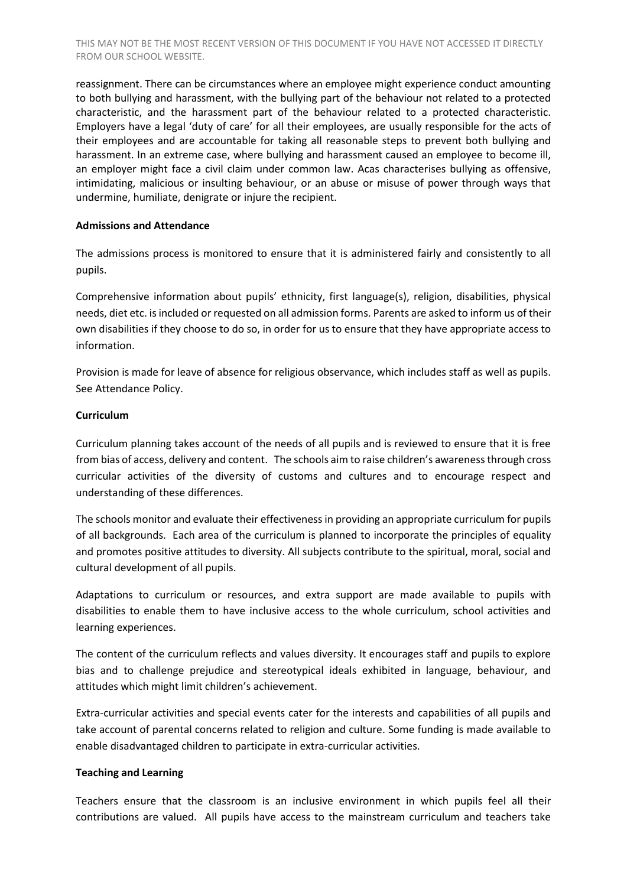reassignment. There can be circumstances where an employee might experience conduct amounting to both bullying and harassment, with the bullying part of the behaviour not related to a protected characteristic, and the harassment part of the behaviour related to a protected characteristic. Employers have a legal 'duty of care' for all their employees, are usually responsible for the acts of their employees and are accountable for taking all reasonable steps to prevent both bullying and harassment. In an extreme case, where bullying and harassment caused an employee to become ill, an employer might face a civil claim under common law. Acas characterises bullying as offensive, intimidating, malicious or insulting behaviour, or an abuse or misuse of power through ways that undermine, humiliate, denigrate or injure the recipient.

## **Admissions and Attendance**

The admissions process is monitored to ensure that it is administered fairly and consistently to all pupils.

Comprehensive information about pupils' ethnicity, first language(s), religion, disabilities, physical needs, diet etc. is included or requested on all admission forms. Parents are asked to inform us of their own disabilities if they choose to do so, in order for us to ensure that they have appropriate access to information.

Provision is made for leave of absence for religious observance, which includes staff as well as pupils. See Attendance Policy.

## **Curriculum**

Curriculum planning takes account of the needs of all pupils and is reviewed to ensure that it is free from bias of access, delivery and content. The schools aim to raise children's awareness through cross curricular activities of the diversity of customs and cultures and to encourage respect and understanding of these differences.

The schools monitor and evaluate their effectiveness in providing an appropriate curriculum for pupils of all backgrounds. Each area of the curriculum is planned to incorporate the principles of equality and promotes positive attitudes to diversity. All subjects contribute to the spiritual, moral, social and cultural development of all pupils.

Adaptations to curriculum or resources, and extra support are made available to pupils with disabilities to enable them to have inclusive access to the whole curriculum, school activities and learning experiences.

The content of the curriculum reflects and values diversity. It encourages staff and pupils to explore bias and to challenge prejudice and stereotypical ideals exhibited in language, behaviour, and attitudes which might limit children's achievement.

Extra-curricular activities and special events cater for the interests and capabilities of all pupils and take account of parental concerns related to religion and culture. Some funding is made available to enable disadvantaged children to participate in extra-curricular activities.

# **Teaching and Learning**

Teachers ensure that the classroom is an inclusive environment in which pupils feel all their contributions are valued. All pupils have access to the mainstream curriculum and teachers take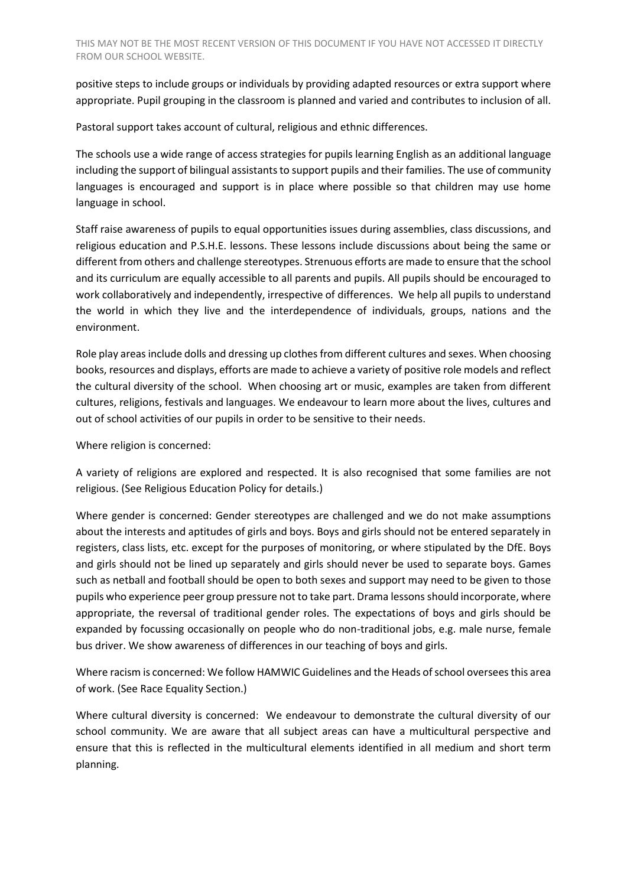positive steps to include groups or individuals by providing adapted resources or extra support where appropriate. Pupil grouping in the classroom is planned and varied and contributes to inclusion of all.

Pastoral support takes account of cultural, religious and ethnic differences.

The schools use a wide range of access strategies for pupils learning English as an additional language including the support of bilingual assistants to support pupils and their families. The use of community languages is encouraged and support is in place where possible so that children may use home language in school.

Staff raise awareness of pupils to equal opportunities issues during assemblies, class discussions, and religious education and P.S.H.E. lessons. These lessons include discussions about being the same or different from others and challenge stereotypes. Strenuous efforts are made to ensure that the school and its curriculum are equally accessible to all parents and pupils. All pupils should be encouraged to work collaboratively and independently, irrespective of differences. We help all pupils to understand the world in which they live and the interdependence of individuals, groups, nations and the environment.

Role play areas include dolls and dressing up clothes from different cultures and sexes. When choosing books, resources and displays, efforts are made to achieve a variety of positive role models and reflect the cultural diversity of the school. When choosing art or music, examples are taken from different cultures, religions, festivals and languages. We endeavour to learn more about the lives, cultures and out of school activities of our pupils in order to be sensitive to their needs.

Where religion is concerned:

A variety of religions are explored and respected. It is also recognised that some families are not religious. (See Religious Education Policy for details.)

Where gender is concerned: Gender stereotypes are challenged and we do not make assumptions about the interests and aptitudes of girls and boys. Boys and girls should not be entered separately in registers, class lists, etc. except for the purposes of monitoring, or where stipulated by the DfE. Boys and girls should not be lined up separately and girls should never be used to separate boys. Games such as netball and football should be open to both sexes and support may need to be given to those pupils who experience peer group pressure not to take part. Drama lessons should incorporate, where appropriate, the reversal of traditional gender roles. The expectations of boys and girls should be expanded by focussing occasionally on people who do non-traditional jobs, e.g. male nurse, female bus driver. We show awareness of differences in our teaching of boys and girls.

Where racism is concerned: We follow HAMWIC Guidelines and the Heads of school oversees this area of work. (See Race Equality Section.)

Where cultural diversity is concerned: We endeavour to demonstrate the cultural diversity of our school community. We are aware that all subject areas can have a multicultural perspective and ensure that this is reflected in the multicultural elements identified in all medium and short term planning.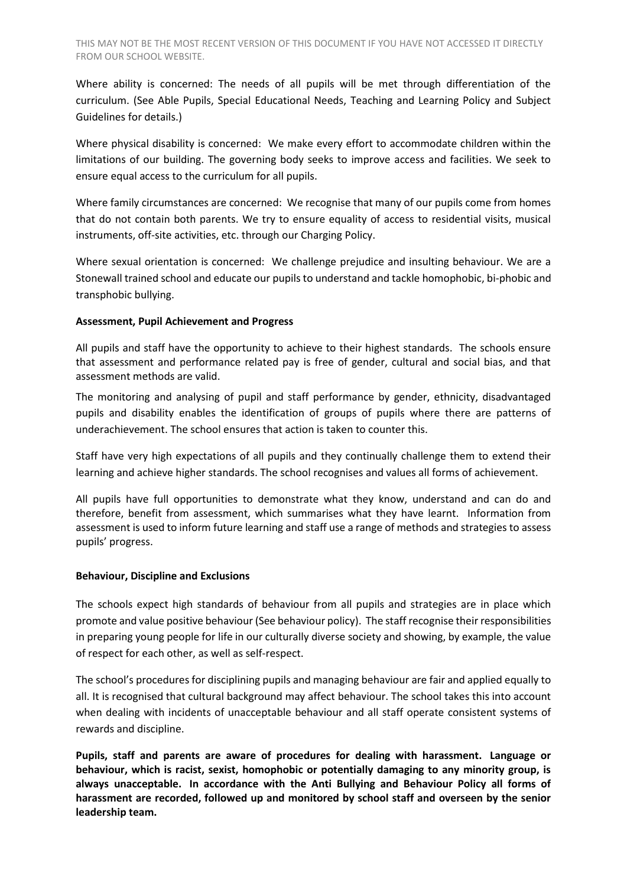Where ability is concerned: The needs of all pupils will be met through differentiation of the curriculum. (See Able Pupils, Special Educational Needs, Teaching and Learning Policy and Subject Guidelines for details.)

Where physical disability is concerned: We make every effort to accommodate children within the limitations of our building. The governing body seeks to improve access and facilities. We seek to ensure equal access to the curriculum for all pupils.

Where family circumstances are concerned: We recognise that many of our pupils come from homes that do not contain both parents. We try to ensure equality of access to residential visits, musical instruments, off-site activities, etc. through our Charging Policy.

Where sexual orientation is concerned: We challenge prejudice and insulting behaviour. We are a Stonewall trained school and educate our pupils to understand and tackle homophobic, bi-phobic and transphobic bullying.

## **Assessment, Pupil Achievement and Progress**

All pupils and staff have the opportunity to achieve to their highest standards. The schools ensure that assessment and performance related pay is free of gender, cultural and social bias, and that assessment methods are valid.

The monitoring and analysing of pupil and staff performance by gender, ethnicity, disadvantaged pupils and disability enables the identification of groups of pupils where there are patterns of underachievement. The school ensures that action is taken to counter this.

Staff have very high expectations of all pupils and they continually challenge them to extend their learning and achieve higher standards. The school recognises and values all forms of achievement.

All pupils have full opportunities to demonstrate what they know, understand and can do and therefore, benefit from assessment, which summarises what they have learnt. Information from assessment is used to inform future learning and staff use a range of methods and strategies to assess pupils' progress.

#### **Behaviour, Discipline and Exclusions**

The schools expect high standards of behaviour from all pupils and strategies are in place which promote and value positive behaviour (See behaviour policy). The staff recognise their responsibilities in preparing young people for life in our culturally diverse society and showing, by example, the value of respect for each other, as well as self-respect.

The school's procedures for disciplining pupils and managing behaviour are fair and applied equally to all. It is recognised that cultural background may affect behaviour. The school takes this into account when dealing with incidents of unacceptable behaviour and all staff operate consistent systems of rewards and discipline.

**Pupils, staff and parents are aware of procedures for dealing with harassment. Language or behaviour, which is racist, sexist, homophobic or potentially damaging to any minority group, is always unacceptable. In accordance with the Anti Bullying and Behaviour Policy all forms of harassment are recorded, followed up and monitored by school staff and overseen by the senior leadership team.**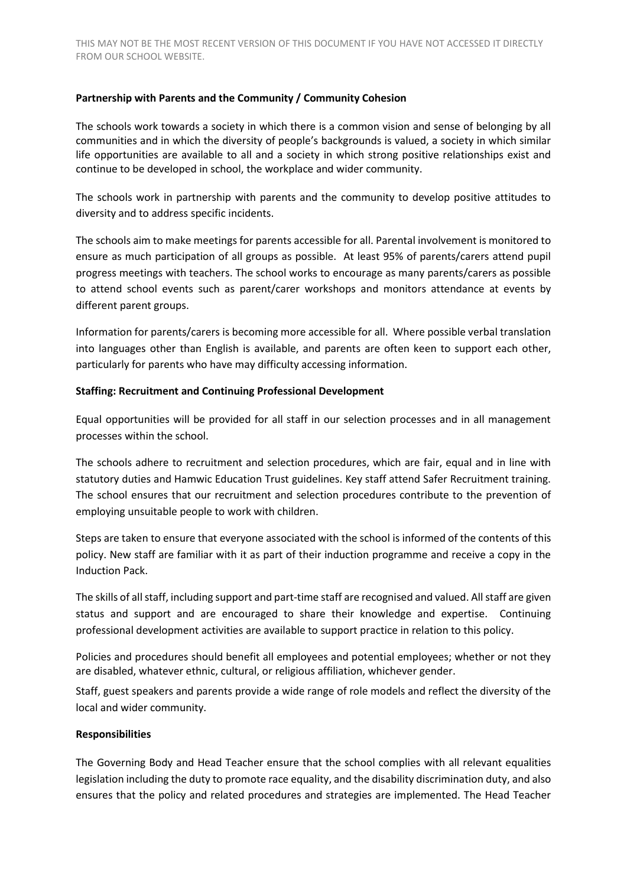## **Partnership with Parents and the Community / Community Cohesion**

The schools work towards a society in which there is a common vision and sense of belonging by all communities and in which the diversity of people's backgrounds is valued, a society in which similar life opportunities are available to all and a society in which strong positive relationships exist and continue to be developed in school, the workplace and wider community.

The schools work in partnership with parents and the community to develop positive attitudes to diversity and to address specific incidents.

The schools aim to make meetings for parents accessible for all. Parental involvement is monitored to ensure as much participation of all groups as possible. At least 95% of parents/carers attend pupil progress meetings with teachers. The school works to encourage as many parents/carers as possible to attend school events such as parent/carer workshops and monitors attendance at events by different parent groups.

Information for parents/carers is becoming more accessible for all. Where possible verbal translation into languages other than English is available, and parents are often keen to support each other, particularly for parents who have may difficulty accessing information.

#### **Staffing: Recruitment and Continuing Professional Development**

Equal opportunities will be provided for all staff in our selection processes and in all management processes within the school.

The schools adhere to recruitment and selection procedures, which are fair, equal and in line with statutory duties and Hamwic Education Trust guidelines. Key staff attend Safer Recruitment training. The school ensures that our recruitment and selection procedures contribute to the prevention of employing unsuitable people to work with children.

Steps are taken to ensure that everyone associated with the school is informed of the contents of this policy. New staff are familiar with it as part of their induction programme and receive a copy in the Induction Pack.

The skills of all staff, including support and part-time staff are recognised and valued. All staff are given status and support and are encouraged to share their knowledge and expertise. Continuing professional development activities are available to support practice in relation to this policy.

Policies and procedures should benefit all employees and potential employees; whether or not they are disabled, whatever ethnic, cultural, or religious affiliation, whichever gender.

Staff, guest speakers and parents provide a wide range of role models and reflect the diversity of the local and wider community.

#### **Responsibilities**

The Governing Body and Head Teacher ensure that the school complies with all relevant equalities legislation including the duty to promote race equality, and the disability discrimination duty, and also ensures that the policy and related procedures and strategies are implemented. The Head Teacher